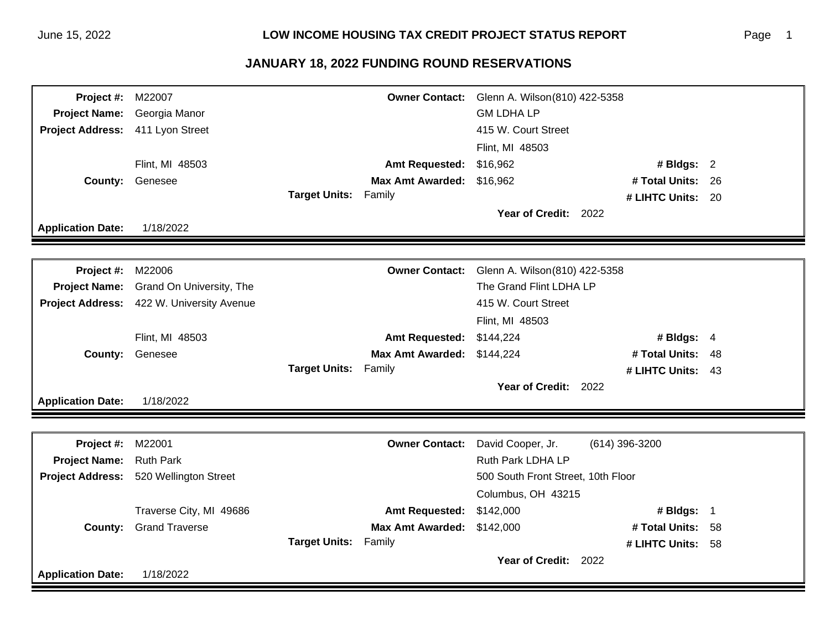| <b>Project #: M22007</b> |                          |                             |                           | Owner Contact: Glenn A. Wilson(810) 422-5358 |                   |  |
|--------------------------|--------------------------|-----------------------------|---------------------------|----------------------------------------------|-------------------|--|
| <b>Project Name:</b>     | Georgia Manor            |                             |                           | <b>GM LDHA LP</b>                            |                   |  |
| <b>Project Address:</b>  | 411 Lyon Street          |                             |                           | 415 W. Court Street                          |                   |  |
|                          |                          |                             |                           | Flint, MI 48503                              |                   |  |
|                          | Flint, MI 48503          |                             | <b>Amt Requested:</b>     | \$16,962                                     | # Bldgs: $2$      |  |
| <b>County:</b>           | Genesee                  |                             | Max Amt Awarded: \$16,962 |                                              | # Total Units: 26 |  |
|                          |                          | <b>Target Units: Family</b> |                           |                                              | # LIHTC Units: 20 |  |
|                          |                          |                             |                           | Year of Credit: 2022                         |                   |  |
| <b>Application Date:</b> | 1/18/2022                |                             |                           |                                              |                   |  |
|                          |                          |                             |                           |                                              |                   |  |
| Project #:               | M22006                   |                             | <b>Owner Contact:</b>     | Glenn A. Wilson(810) 422-5358                |                   |  |
| <b>Project Name:</b>     | Grand On University, The |                             |                           | The Grand Flint LDHA LP                      |                   |  |
| <b>Project Address:</b>  | 422 W. University Avenue |                             |                           | 415 W. Court Street                          |                   |  |
|                          |                          |                             |                           | Flint, MI 48503                              |                   |  |
|                          | Flint, MI 48503          |                             | <b>Amt Requested:</b>     | \$144,224                                    | # Bldgs: 4        |  |
| County:                  | Genesee                  |                             | <b>Max Amt Awarded:</b>   | \$144,224                                    | # Total Units: 48 |  |
|                          |                          | <b>Target Units: Family</b> |                           |                                              | # LIHTC Units: 43 |  |
|                          |                          |                             |                           | Year of Credit: 2022                         |                   |  |
| <b>Application Date:</b> | 1/18/2022                |                             |                           |                                              |                   |  |
|                          |                          |                             |                           |                                              |                   |  |
| Project #:               | M22001                   |                             | <b>Owner Contact:</b>     | David Cooper, Jr.                            | (614) 396-3200    |  |
| <b>Project Name:</b>     | <b>Ruth Park</b>         |                             |                           | Ruth Park LDHA LP                            |                   |  |
| <b>Project Address:</b>  | 520 Wellington Street    |                             |                           | 500 South Front Street, 10th Floor           |                   |  |
|                          |                          |                             |                           | Columbus, OH 43215                           |                   |  |
|                          | Traverse City, MI 49686  |                             | <b>Amt Requested:</b>     | \$142,000                                    | # Bldgs: 1        |  |
| County:                  | <b>Grand Traverse</b>    |                             | <b>Max Amt Awarded:</b>   | \$142,000                                    | # Total Units: 58 |  |
|                          |                          | <b>Target Units: Family</b> |                           |                                              | # LIHTC Units: 58 |  |
|                          |                          |                             |                           | Year of Credit: 2022                         |                   |  |
| <b>Application Date:</b> | 1/18/2022                |                             |                           |                                              |                   |  |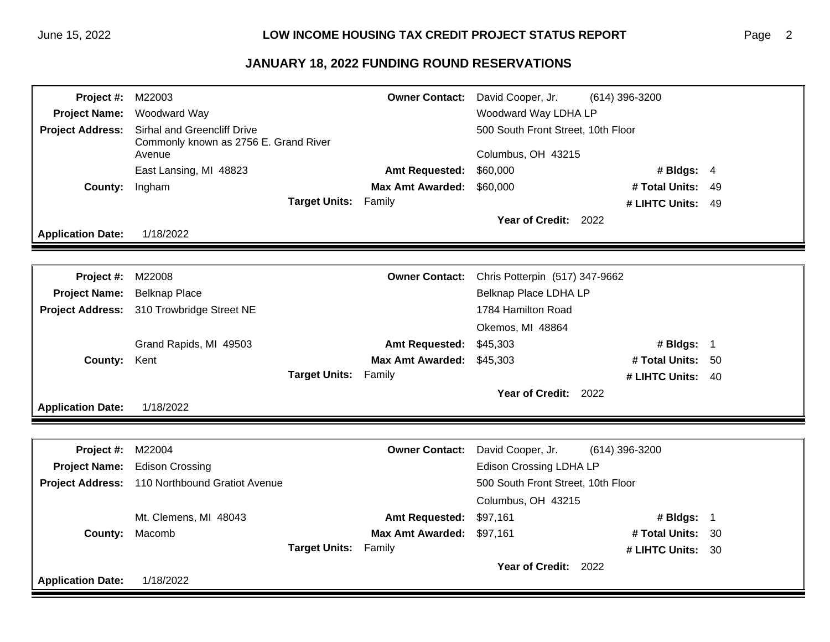| Project #:               | M22003                                                                         |                             | <b>Owner Contact:</b>   | David Cooper, Jr.                                        | $(614)$ 396-3200  |  |
|--------------------------|--------------------------------------------------------------------------------|-----------------------------|-------------------------|----------------------------------------------------------|-------------------|--|
| <b>Project Name:</b>     | Woodward Way                                                                   |                             |                         | Woodward Way LDHA LP                                     |                   |  |
| <b>Project Address:</b>  | Sirhal and Greencliff Drive<br>Commonly known as 2756 E. Grand River<br>Avenue |                             |                         | 500 South Front Street, 10th Floor<br>Columbus, OH 43215 |                   |  |
|                          | East Lansing, MI 48823                                                         |                             | <b>Amt Requested:</b>   | \$60,000                                                 | # Bldgs: $4$      |  |
| <b>County:</b>           | Ingham                                                                         |                             | <b>Max Amt Awarded:</b> | \$60,000                                                 | # Total Units: 49 |  |
|                          |                                                                                | <b>Target Units: Family</b> |                         |                                                          | # LIHTC Units: 49 |  |
|                          |                                                                                |                             |                         | Year of Credit: 2022                                     |                   |  |
| <b>Application Date:</b> | 1/18/2022                                                                      |                             |                         |                                                          |                   |  |
|                          |                                                                                |                             |                         |                                                          |                   |  |
| <b>Project #: M22008</b> |                                                                                |                             | <b>Owner Contact:</b>   | Chris Potterpin (517) 347-9662                           |                   |  |
| <b>Project Name:</b>     | <b>Belknap Place</b>                                                           |                             |                         | Belknap Place LDHA LP                                    |                   |  |
|                          | Project Address: 310 Trowbridge Street NE                                      |                             |                         | 1784 Hamilton Road                                       |                   |  |
|                          |                                                                                |                             |                         | Okemos, MI 48864                                         |                   |  |
|                          | Grand Rapids, MI 49503                                                         |                             | <b>Amt Requested:</b>   | \$45,303                                                 | # Bldgs: 1        |  |
| <b>County:</b>           | Kent                                                                           |                             | <b>Max Amt Awarded:</b> | \$45,303                                                 | # Total Units: 50 |  |
|                          |                                                                                | <b>Target Units: Family</b> |                         |                                                          | # LIHTC Units: 40 |  |
|                          |                                                                                |                             |                         | Year of Credit: 2022                                     |                   |  |
| <b>Application Date:</b> | 1/18/2022                                                                      |                             |                         |                                                          |                   |  |
|                          |                                                                                |                             |                         |                                                          |                   |  |
| <b>Project #: M22004</b> |                                                                                |                             | <b>Owner Contact:</b>   | David Cooper, Jr.                                        | (614) 396-3200    |  |
|                          | Project Name: Edison Crossing                                                  |                             |                         | <b>Edison Crossing LDHA LP</b>                           |                   |  |
|                          | Project Address: 110 Northbound Gratiot Avenue                                 |                             |                         | 500 South Front Street, 10th Floor                       |                   |  |
|                          |                                                                                |                             |                         | Columbus, OH 43215                                       |                   |  |
|                          | Mt. Clemens, MI 48043                                                          |                             | <b>Amt Requested:</b>   | \$97,161                                                 | # Bldgs: 1        |  |
|                          | County: Macomb                                                                 |                             | <b>Max Amt Awarded:</b> | \$97,161                                                 | # Total Units: 30 |  |
|                          |                                                                                | Target Units: Family        |                         |                                                          | # LIHTC Units: 30 |  |
|                          |                                                                                |                             |                         | Year of Credit: 2022                                     |                   |  |
| <b>Application Date:</b> | 1/18/2022                                                                      |                             |                         |                                                          |                   |  |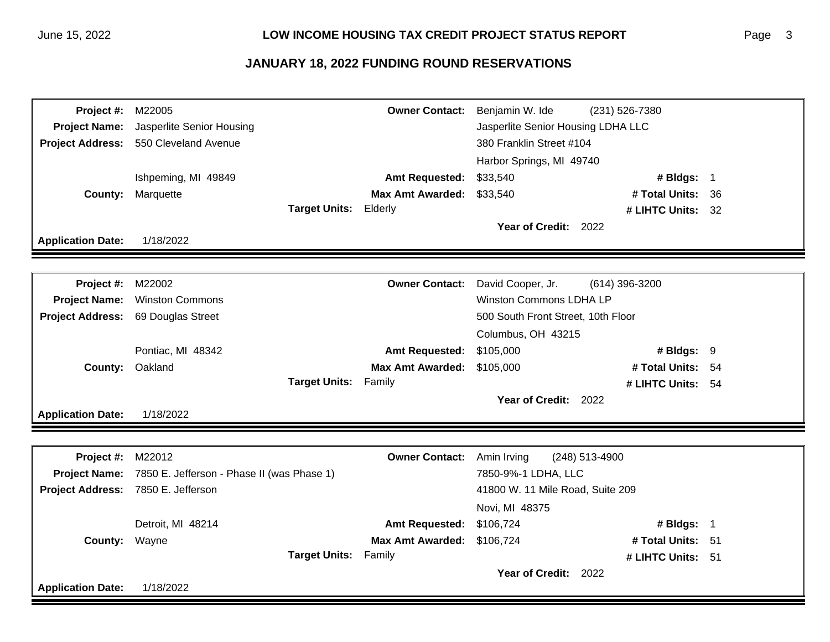| Project #:                         | M22005                                                   |                             | <b>Owner Contact:</b>   | Benjamin W. Ide                    | (231) 526-7380    |     |
|------------------------------------|----------------------------------------------------------|-----------------------------|-------------------------|------------------------------------|-------------------|-----|
| <b>Project Name:</b>               | Jasperlite Senior Housing                                |                             |                         | Jasperlite Senior Housing LDHA LLC |                   |     |
|                                    | Project Address: 550 Cleveland Avenue                    |                             |                         | 380 Franklin Street #104           |                   |     |
|                                    |                                                          |                             |                         | Harbor Springs, MI 49740           |                   |     |
|                                    | Ishpeming, MI 49849                                      |                             | <b>Amt Requested:</b>   | \$33,540                           | # Bldgs: 1        |     |
| County:                            | Marquette                                                |                             | <b>Max Amt Awarded:</b> | \$33,540                           | # Total Units:    | -36 |
|                                    |                                                          | Target Units: Elderly       |                         |                                    | # LIHTC Units: 32 |     |
|                                    |                                                          |                             |                         | Year of Credit: 2022               |                   |     |
| <b>Application Date:</b>           | 1/18/2022                                                |                             |                         |                                    |                   |     |
|                                    |                                                          |                             |                         |                                    |                   |     |
| Project #:                         | M22002                                                   |                             | <b>Owner Contact:</b>   | David Cooper, Jr.                  | (614) 396-3200    |     |
| <b>Project Name:</b>               | <b>Winston Commons</b>                                   |                             |                         | <b>Winston Commons LDHA LP</b>     |                   |     |
| <b>Project Address:</b>            | 69 Douglas Street                                        |                             |                         | 500 South Front Street, 10th Floor |                   |     |
|                                    |                                                          |                             |                         | Columbus, OH 43215                 |                   |     |
|                                    | Pontiac, MI 48342                                        |                             | <b>Amt Requested:</b>   | \$105,000                          | # Bldgs: $9$      |     |
| County:                            | Oakland                                                  |                             | <b>Max Amt Awarded:</b> | \$105,000                          | # Total Units: 54 |     |
|                                    |                                                          | <b>Target Units: Family</b> |                         |                                    | # LIHTC Units: 54 |     |
|                                    |                                                          |                             |                         | Year of Credit: 2022               |                   |     |
| <b>Application Date:</b>           | 1/18/2022                                                |                             |                         |                                    |                   |     |
|                                    |                                                          |                             |                         |                                    |                   |     |
| <b>Project #: M22012</b>           |                                                          |                             | <b>Owner Contact:</b>   | Amin Irving                        | (248) 513-4900    |     |
|                                    | Project Name: 7850 E. Jefferson - Phase II (was Phase 1) |                             |                         | 7850-9%-1 LDHA, LLC                |                   |     |
| Project Address: 7850 E. Jefferson |                                                          |                             |                         | 41800 W. 11 Mile Road, Suite 209   |                   |     |
|                                    |                                                          |                             |                         | Novi, MI 48375                     |                   |     |
|                                    | Detroit, MI 48214                                        |                             | <b>Amt Requested:</b>   | \$106,724                          | # Bldgs: 1        |     |
| <b>County: Wayne</b>               |                                                          |                             | <b>Max Amt Awarded:</b> | \$106,724                          | # Total Units: 51 |     |
|                                    |                                                          | <b>Target Units: Family</b> |                         |                                    | # LIHTC Units: 51 |     |
|                                    |                                                          |                             |                         | Year of Credit: 2022               |                   |     |
| <b>Application Date:</b>           | 1/18/2022                                                |                             |                         |                                    |                   |     |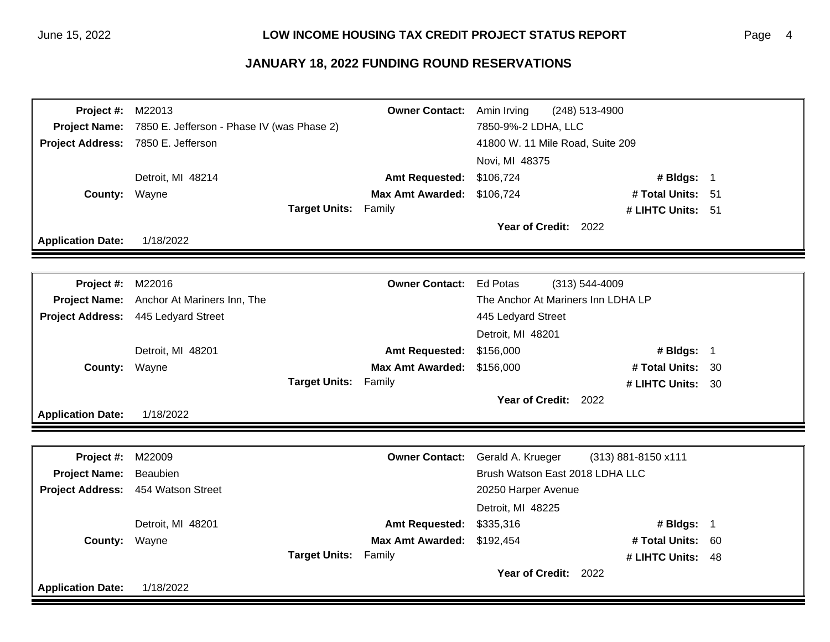| <b>Project #: M22013</b> |                                            |                             | <b>Owner Contact:</b>            | Amin Irving          | (248) 513-4900                     |      |
|--------------------------|--------------------------------------------|-----------------------------|----------------------------------|----------------------|------------------------------------|------|
| <b>Project Name:</b>     | 7850 E. Jefferson - Phase IV (was Phase 2) |                             |                                  | 7850-9%-2 LDHA, LLC  |                                    |      |
|                          | Project Address: 7850 E. Jefferson         |                             | 41800 W. 11 Mile Road, Suite 209 |                      |                                    |      |
|                          |                                            |                             | Novi, MI 48375                   |                      |                                    |      |
|                          | Detroit, MI 48214                          |                             | <b>Amt Requested:</b>            | \$106,724            | # Bldgs: 1                         |      |
| County: Wayne            |                                            |                             | <b>Max Amt Awarded:</b>          | \$106,724            | # Total Units: 51                  |      |
|                          |                                            | <b>Target Units: Family</b> |                                  |                      | # LIHTC Units: 51                  |      |
|                          |                                            |                             |                                  | Year of Credit: 2022 |                                    |      |
| <b>Application Date:</b> | 1/18/2022                                  |                             |                                  |                      |                                    |      |
|                          |                                            |                             |                                  |                      |                                    |      |
| <b>Project #: M22016</b> |                                            |                             | <b>Owner Contact:</b>            | <b>Ed Potas</b>      | (313) 544-4009                     |      |
|                          | Project Name: Anchor At Mariners Inn, The  |                             |                                  |                      | The Anchor At Mariners Inn LDHA LP |      |
|                          | Project Address: 445 Ledyard Street        |                             |                                  | 445 Ledyard Street   |                                    |      |
|                          |                                            |                             |                                  | Detroit, MI 48201    |                                    |      |
|                          | Detroit, MI 48201                          |                             | <b>Amt Requested:</b>            | \$156,000            | # Bldgs: 1                         |      |
| County: Wayne            |                                            |                             | <b>Max Amt Awarded:</b>          | \$156,000            | # Total Units:                     | - 30 |
|                          |                                            | Target Units: Family        |                                  |                      | # LIHTC Units: 30                  |      |
|                          |                                            |                             |                                  | Year of Credit: 2022 |                                    |      |
| <b>Application Date:</b> | 1/18/2022                                  |                             |                                  |                      |                                    |      |
|                          |                                            |                             |                                  |                      |                                    |      |
| <b>Project #: M22009</b> |                                            |                             | <b>Owner Contact:</b>            | Gerald A. Krueger    | (313) 881-8150 x111                |      |
| <b>Project Name:</b>     | Beaubien                                   |                             |                                  |                      | Brush Watson East 2018 LDHA LLC    |      |
|                          | Project Address: 454 Watson Street         |                             |                                  | 20250 Harper Avenue  |                                    |      |
|                          |                                            |                             |                                  | Detroit, MI 48225    |                                    |      |
|                          | Detroit, MI 48201                          |                             | <b>Amt Requested:</b>            | \$335,316            | # Bldgs: 1                         |      |
| County: Wayne            |                                            |                             | <b>Max Amt Awarded:</b>          | \$192,454            | # Total Units:                     | - 60 |
|                          |                                            | <b>Target Units:</b>        | Family                           |                      | # LIHTC Units: 48                  |      |
|                          |                                            |                             |                                  | Year of Credit: 2022 |                                    |      |
| <b>Application Date:</b> | 1/18/2022                                  |                             |                                  |                      |                                    |      |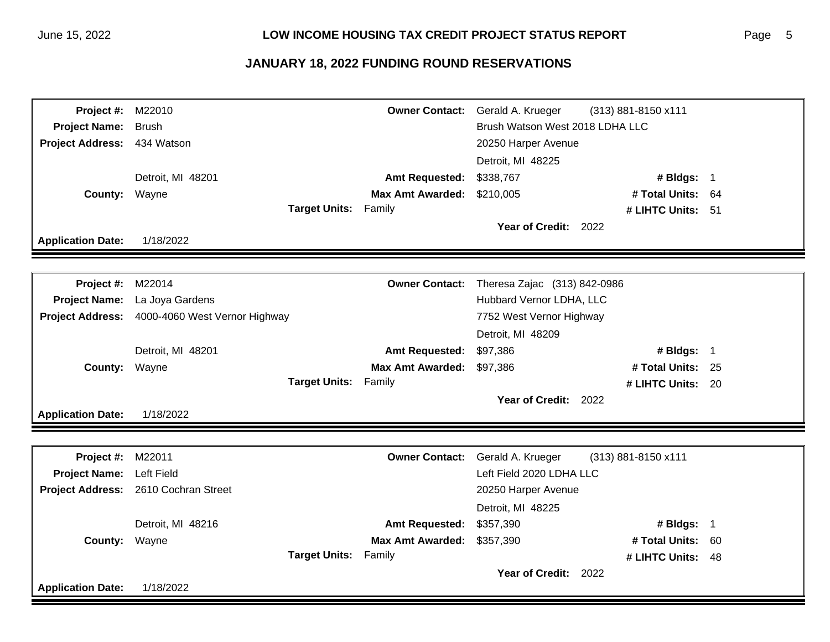| <b>Project #: M22010</b> |                                                |                             | <b>Owner Contact:</b>   | Gerald A. Krueger               | (313) 881-8150 x111 |  |
|--------------------------|------------------------------------------------|-----------------------------|-------------------------|---------------------------------|---------------------|--|
| <b>Project Name:</b>     | <b>Brush</b>                                   |                             |                         | Brush Watson West 2018 LDHA LLC |                     |  |
| <b>Project Address:</b>  | 434 Watson                                     |                             |                         | 20250 Harper Avenue             |                     |  |
|                          |                                                |                             |                         | Detroit, MI 48225               |                     |  |
|                          | Detroit, MI 48201                              |                             | <b>Amt Requested:</b>   | \$338,767                       | # Bldgs: 1          |  |
| County: Wayne            |                                                |                             | <b>Max Amt Awarded:</b> | \$210,005                       | # Total Units: 64   |  |
|                          |                                                | <b>Target Units: Family</b> |                         |                                 | # LIHTC Units: 51   |  |
|                          |                                                |                             |                         | Year of Credit: 2022            |                     |  |
| <b>Application Date:</b> | 1/18/2022                                      |                             |                         |                                 |                     |  |
|                          |                                                |                             |                         |                                 |                     |  |
| <b>Project #: M22014</b> |                                                |                             | <b>Owner Contact:</b>   | Theresa Zajac (313) 842-0986    |                     |  |
|                          | Project Name: La Joya Gardens                  |                             |                         | Hubbard Vernor LDHA, LLC        |                     |  |
|                          | Project Address: 4000-4060 West Vernor Highway |                             |                         | 7752 West Vernor Highway        |                     |  |
|                          |                                                |                             |                         | Detroit, MI 48209               |                     |  |
|                          | Detroit, MI 48201                              |                             | <b>Amt Requested:</b>   | \$97,386                        | # Bldgs: 1          |  |
| County: Wayne            |                                                |                             | <b>Max Amt Awarded:</b> | \$97,386                        | # Total Units: 25   |  |
|                          |                                                | <b>Target Units: Family</b> |                         |                                 | # LIHTC Units: 20   |  |
|                          |                                                |                             |                         | Year of Credit: 2022            |                     |  |
| <b>Application Date:</b> | 1/18/2022                                      |                             |                         |                                 |                     |  |
|                          |                                                |                             |                         |                                 |                     |  |
| <b>Project #: M22011</b> |                                                |                             | <b>Owner Contact:</b>   | Gerald A. Krueger               | (313) 881-8150 x111 |  |
| Project Name: Left Field |                                                |                             |                         | Left Field 2020 LDHA LLC        |                     |  |
|                          | Project Address: 2610 Cochran Street           |                             |                         | 20250 Harper Avenue             |                     |  |
|                          |                                                |                             |                         | Detroit, MI 48225               |                     |  |
|                          | Detroit, MI 48216                              |                             | <b>Amt Requested:</b>   | \$357,390                       | # Bldgs: 1          |  |
| <b>County: Wayne</b>     |                                                |                             | <b>Max Amt Awarded:</b> | \$357,390                       | # Total Units: 60   |  |
|                          |                                                | <b>Target Units: Family</b> |                         |                                 | # LIHTC Units: 48   |  |
|                          |                                                |                             |                         | Year of Credit: 2022            |                     |  |
| <b>Application Date:</b> | 1/18/2022                                      |                             |                         |                                 |                     |  |